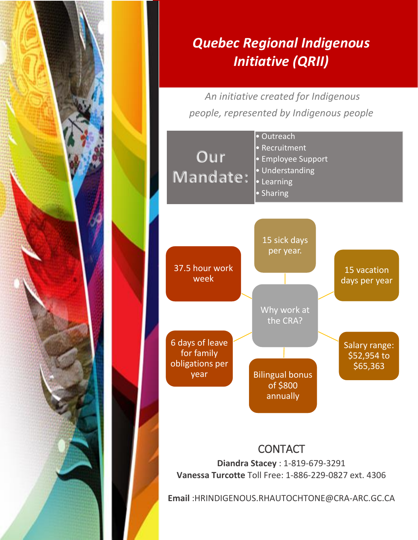

## *Quebec Regional Indigenous Initiative (QRII)*

*An initiative created for Indigenous people, represented by Indigenous people*



**Diandra Stacey** : 1-819-679-3291 **Vanessa Turcotte** Toll Free: 1-886-229-0827 ext. 4306

**Email** :HRINDIGENOUS.RHAUTOCHTONE@CRA-ARC.GC.CA